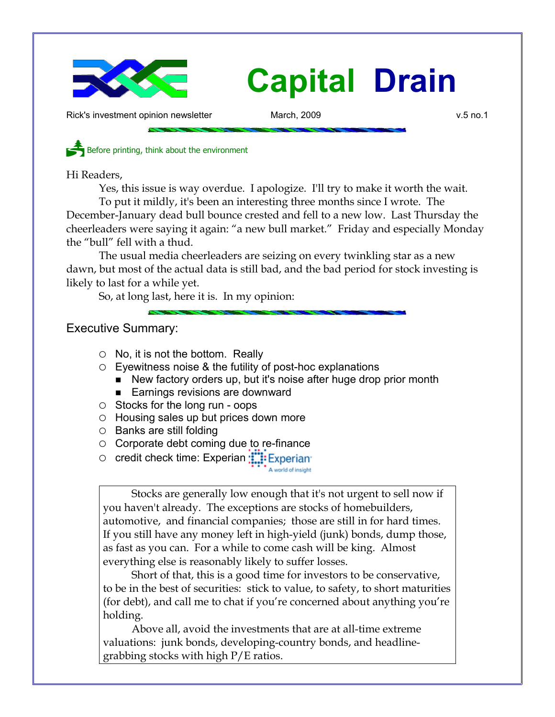

Rick's investment opinion newsletter March, 2009 v.5 no.1

Before printing, think about the environment

Hi Readers,

Yes, this issue is way overdue. I apologize. I'll try to make it worth the wait.

To put it mildly, it's been an interesting three months since I wrote. The December-January dead bull bounce crested and fell to a new low. Last Thursday the cheerleaders were saying it again: "a new bull market." Friday and especially Monday the "bull" fell with a thud.

The usual media cheerleaders are seizing on every twinkling star as a new dawn, but most of the actual data is still bad, and the bad period for stock investing is likely to last for a while yet.

So, at long last, here it is. In my opinion:

Executive Summary:

- $\circ$  No, it is not the bottom. Really
- Eyewitness noise & the futility of post-hoc explanations
	- New factory orders up, but it's noise after huge drop prior month
	- Earnings revisions are downward
- Stocks for the long run oops
- Housing sales up but prices down more
- Banks are still folding
- Corporate debt coming due to re-finance
- credit check time: Experian :::::: Experian

Stocks are generally low enough that it's not urgent to sell now if you haven't already. The exceptions are stocks of homebuilders, automotive, and financial companies; those are still in for hard times. If you still have any money left in high-yield (junk) bonds, dump those, as fast as you can. For a while to come cash will be king. Almost everything else is reasonably likely to suffer losses.

Short of that, this is a good time for investors to be conservative, to be in the best of securities: stick to value, to safety, to short maturities (for debt), and call me to chat if you're concerned about anything you're holding.

Above all, avoid the investments that are at all-time extreme valuations: junk bonds, developing-country bonds, and headlinegrabbing stocks with high P/E ratios.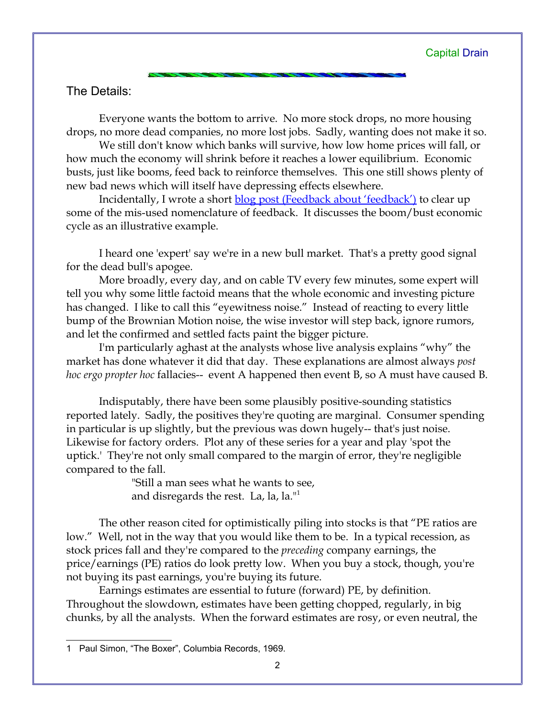# The Details:

Everyone wants the bottom to arrive. No more stock drops, no more housing drops, no more dead companies, no more lost jobs. Sadly, wanting does not make it so.

We still don't know which banks will survive, how low home prices will fall, or how much the economy will shrink before it reaches a lower equilibrium. Economic busts, just like booms, feed back to reinforce themselves. This one still shows plenty of new bad news which will itself have depressing effects elsewhere.

Incidentally, I wrote a short [blog post \(Feedback about 'feedback'\)](http://018695b.netsolhost.com/ricksblog/2009-03-30/the-stock-picking-process/macroeconomics/feedback-about-feedback/) to clear up some of the mis-used nomenclature of feedback. It discusses the boom/bust economic cycle as an illustrative example.

I heard one 'expert' say we're in a new bull market. That's a pretty good signal for the dead bull's apogee.

More broadly, every day, and on cable TV every few minutes, some expert will tell you why some little factoid means that the whole economic and investing picture has changed. I like to call this "eyewitness noise." Instead of reacting to every little bump of the Brownian Motion noise, the wise investor will step back, ignore rumors, and let the confirmed and settled facts paint the bigger picture.

I'm particularly aghast at the analysts whose live analysis explains "why" the market has done whatever it did that day. These explanations are almost always *post hoc ergo propter hoc* fallacies-- event A happened then event B, so A must have caused B.

Indisputably, there have been some plausibly positive-sounding statistics reported lately. Sadly, the positives they're quoting are marginal. Consumer spending in particular is up slightly, but the previous was down hugely-- that's just noise. Likewise for factory orders. Plot any of these series for a year and play 'spot the uptick.' They're not only small compared to the margin of error, they're negligible compared to the fall.

> "Still a man sees what he wants to see, and disregards the rest. La, la, la."<sup>[1](#page-1-0)</sup>

The other reason cited for optimistically piling into stocks is that "PE ratios are low." Well, not in the way that you would like them to be. In a typical recession, as stock prices fall and they're compared to the *preceding* company earnings, the price/earnings (PE) ratios do look pretty low. When you buy a stock, though, you're not buying its past earnings, you're buying its future.

Earnings estimates are essential to future (forward) PE, by definition. Throughout the slowdown, estimates have been getting chopped, regularly, in big chunks, by all the analysts. When the forward estimates are rosy, or even neutral, the

<span id="page-1-0"></span><sup>1</sup> Paul Simon, "The Boxer", Columbia Records, 1969.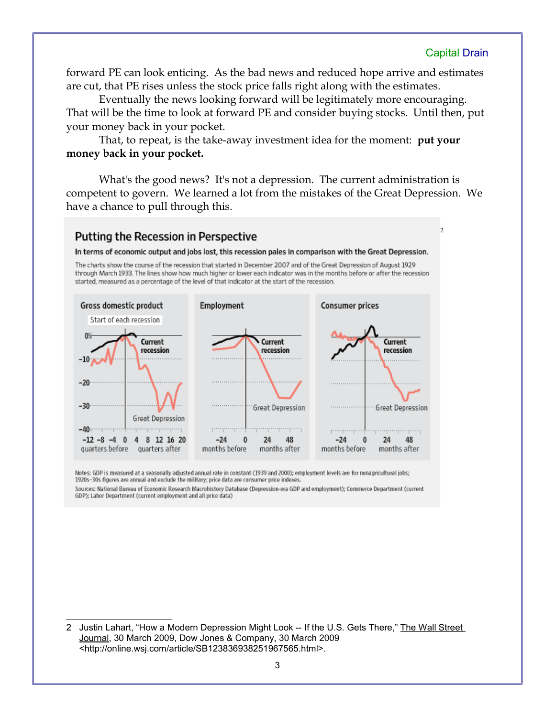$\overline{2}$  $\overline{2}$  $\overline{2}$ 

forward PE can look enticing. As the bad news and reduced hope arrive and estimates are cut, that PE rises unless the stock price falls right along with the estimates.

Eventually the news looking forward will be legitimately more encouraging. That will be the time to look at forward PE and consider buying stocks. Until then, put your money back in your pocket.

That, to repeat, is the take-away investment idea for the moment: **put your money back in your pocket.**

What's the good news? It's not a depression. The current administration is competent to govern. We learned a lot from the mistakes of the Great Depression. We have a chance to pull through this.

### Putting the Recession in Perspective

In terms of economic output and jobs lost, this recession pales in comparison with the Great Depression.

The charts show the course of the recession that started in December 2007 and of the Great Depression of August 1929 through March 1933. The lines show how much higher or lower each indicator was in the months before or after the recession started, measured as a percentage of the level of that indicator at the start of the recession.



Notes: GDP is measured at a seasonally adjusted annual rate in constant (1939 and 2000); employment levels are for nonagricultural jobs; 1920s-30s figures are annual and exclude the military; price data are consumer price indexes.

Sources: National Bureau of Economic Research Macrohistory Database (Depression-era GDP and employment); Commerce Department (current GDP); Labor Department (current employment and all price data)

<span id="page-2-0"></span>2 Justin Lahart, "How a Modern Depression Might Look -- If the U.S. Gets There," The Wall Street Journal, 30 March 2009, Dow Jones & Company, 30 March 2009 <http://online.wsj.com/article/SB123836938251967565.html>.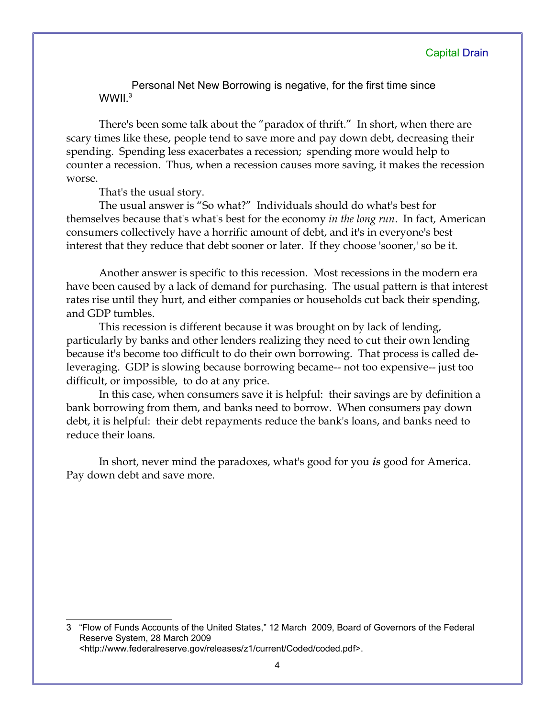Personal Net New Borrowing is negative, for the first time since  $WWII<sup>3</sup>$  $WWII<sup>3</sup>$  $WWII<sup>3</sup>$ 

There's been some talk about the "paradox of thrift." In short, when there are scary times like these, people tend to save more and pay down debt, decreasing their spending. Spending less exacerbates a recession; spending more would help to counter a recession. Thus, when a recession causes more saving, it makes the recession worse.

That's the usual story.

The usual answer is "So what?" Individuals should do what's best for themselves because that's what's best for the economy *in the long run*. In fact, American consumers collectively have a horrific amount of debt, and it's in everyone's best interest that they reduce that debt sooner or later. If they choose 'sooner,' so be it.

Another answer is specific to this recession. Most recessions in the modern era have been caused by a lack of demand for purchasing. The usual pattern is that interest rates rise until they hurt, and either companies or households cut back their spending, and GDP tumbles.

This recession is different because it was brought on by lack of lending, particularly by banks and other lenders realizing they need to cut their own lending because it's become too difficult to do their own borrowing. That process is called deleveraging. GDP is slowing because borrowing became-- not too expensive-- just too difficult, or impossible, to do at any price.

In this case, when consumers save it is helpful: their savings are by definition a bank borrowing from them, and banks need to borrow. When consumers pay down debt, it is helpful: their debt repayments reduce the bank's loans, and banks need to reduce their loans.

In short, never mind the paradoxes, what's good for you *is* good for America. Pay down debt and save more.

<span id="page-3-0"></span>3 "Flow of Funds Accounts of the United States," 12 March 2009, Board of Governors of the Federal Reserve System, 28 March 2009 <http://www.federalreserve.gov/releases/z1/current/Coded/coded.pdf>.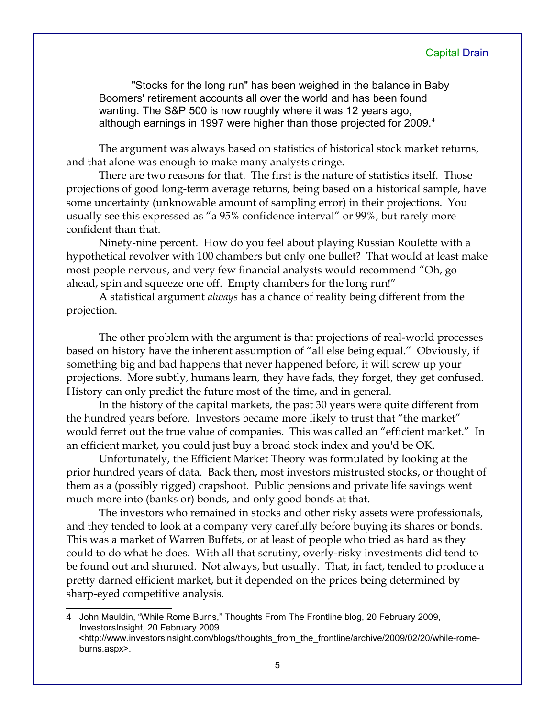"Stocks for the long run" has been weighed in the balance in Baby Boomers' retirement accounts all over the world and has been found wanting. The S&P 500 is now roughly where it was 12 years ago, although earnings in 1997 were higher than those projected for 2009. $4$ 

The argument was always based on statistics of historical stock market returns, and that alone was enough to make many analysts cringe.

There are two reasons for that. The first is the nature of statistics itself. Those projections of good long-term average returns, being based on a historical sample, have some uncertainty (unknowable amount of sampling error) in their projections. You usually see this expressed as "a 95% confidence interval" or 99%, but rarely more confident than that.

Ninety-nine percent. How do you feel about playing Russian Roulette with a hypothetical revolver with 100 chambers but only one bullet? That would at least make most people nervous, and very few financial analysts would recommend "Oh, go ahead, spin and squeeze one off. Empty chambers for the long run!"

A statistical argument *always* has a chance of reality being different from the projection.

The other problem with the argument is that projections of real-world processes based on history have the inherent assumption of "all else being equal." Obviously, if something big and bad happens that never happened before, it will screw up your projections. More subtly, humans learn, they have fads, they forget, they get confused. History can only predict the future most of the time, and in general.

In the history of the capital markets, the past 30 years were quite different from the hundred years before. Investors became more likely to trust that "the market" would ferret out the true value of companies. This was called an "efficient market." In an efficient market, you could just buy a broad stock index and you'd be OK.

Unfortunately, the Efficient Market Theory was formulated by looking at the prior hundred years of data. Back then, most investors mistrusted stocks, or thought of them as a (possibly rigged) crapshoot. Public pensions and private life savings went much more into (banks or) bonds, and only good bonds at that.

The investors who remained in stocks and other risky assets were professionals, and they tended to look at a company very carefully before buying its shares or bonds. This was a market of Warren Buffets, or at least of people who tried as hard as they could to do what he does. With all that scrutiny, overly-risky investments did tend to be found out and shunned. Not always, but usually. That, in fact, tended to produce a pretty darned efficient market, but it depended on the prices being determined by sharp-eyed competitive analysis.

<span id="page-4-0"></span><sup>4</sup> John Mauldin, "While Rome Burns," Thoughts From The Frontline blog, 20 February 2009, InvestorsInsight, 20 February 2009 <http://www.investorsinsight.com/blogs/thoughts\_from\_the\_frontline/archive/2009/02/20/while-romeburns.aspx>.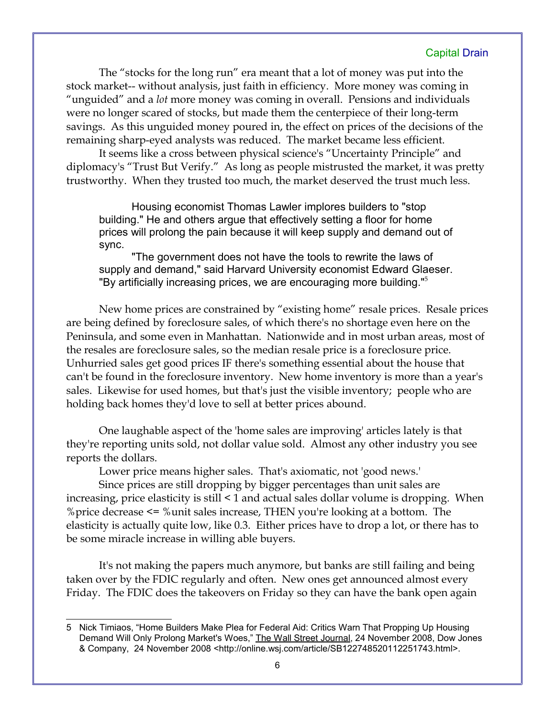The "stocks for the long run" era meant that a lot of money was put into the stock market-- without analysis, just faith in efficiency. More money was coming in "unguided" and a *lot* more money was coming in overall. Pensions and individuals were no longer scared of stocks, but made them the centerpiece of their long-term savings. As this unguided money poured in, the effect on prices of the decisions of the remaining sharp-eyed analysts was reduced. The market became less efficient.

It seems like a cross between physical science's "Uncertainty Principle" and diplomacy's "Trust But Verify." As long as people mistrusted the market, it was pretty trustworthy. When they trusted too much, the market deserved the trust much less.

Housing economist Thomas Lawler implores builders to "stop building." He and others argue that effectively setting a floor for home prices will prolong the pain because it will keep supply and demand out of sync.

"The government does not have the tools to rewrite the laws of supply and demand," said Harvard University economist Edward Glaeser. "By artificially increasing prices, we are encouraging more building."[5](#page-5-0)

New home prices are constrained by "existing home" resale prices. Resale prices are being defined by foreclosure sales, of which there's no shortage even here on the Peninsula, and some even in Manhattan. Nationwide and in most urban areas, most of the resales are foreclosure sales, so the median resale price is a foreclosure price. Unhurried sales get good prices IF there's something essential about the house that can't be found in the foreclosure inventory. New home inventory is more than a year's sales. Likewise for used homes, but that's just the visible inventory; people who are holding back homes they'd love to sell at better prices abound.

One laughable aspect of the 'home sales are improving' articles lately is that they're reporting units sold, not dollar value sold. Almost any other industry you see reports the dollars.

Lower price means higher sales. That's axiomatic, not 'good news.'

Since prices are still dropping by bigger percentages than unit sales are increasing, price elasticity is still < 1 and actual sales dollar volume is dropping. When %price decrease <= %unit sales increase, THEN you're looking at a bottom. The elasticity is actually quite low, like 0.3. Either prices have to drop a lot, or there has to be some miracle increase in willing able buyers.

It's not making the papers much anymore, but banks are still failing and being taken over by the FDIC regularly and often. New ones get announced almost every Friday. The FDIC does the takeovers on Friday so they can have the bank open again

<span id="page-5-0"></span><sup>5</sup> Nick Timiaos, "Home Builders Make Plea for Federal Aid: Critics Warn That Propping Up Housing Demand Will Only Prolong Market's Woes," The Wall Street Journal, 24 November 2008, Dow Jones & Company, 24 November 2008 <http://online.wsj.com/article/SB122748520112251743.html>.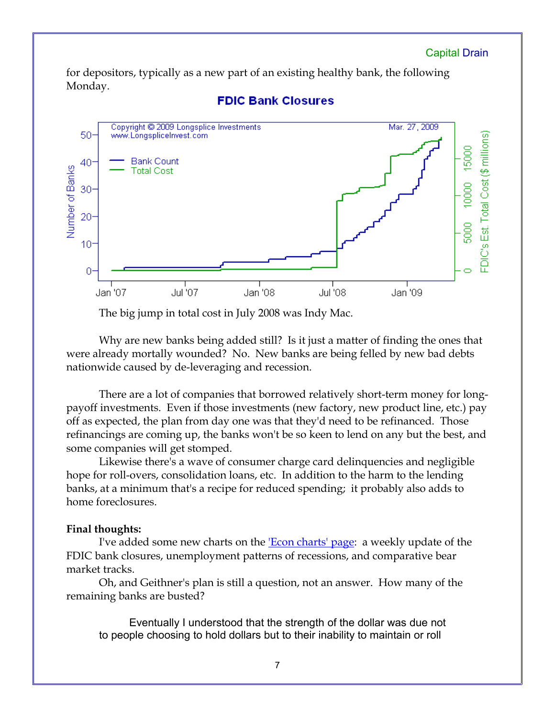for depositors, typically as a new part of an existing healthy bank, the following Monday.



## **FDIC Bank Closures**

The big jump in total cost in July 2008 was Indy Mac.

Why are new banks being added still? Is it just a matter of finding the ones that were already mortally wounded? No. New banks are being felled by new bad debts nationwide caused by de-leveraging and recession.

There are a lot of companies that borrowed relatively short-term money for longpayoff investments. Even if those investments (new factory, new product line, etc.) pay off as expected, the plan from day one was that they'd need to be refinanced. Those refinancings are coming up, the banks won't be so keen to lend on any but the best, and some companies will get stomped.

Likewise there's a wave of consumer charge card delinquencies and negligible hope for roll-overs, consolidation loans, etc. In addition to the harm to the lending banks, at a minimum that's a recipe for reduced spending; it probably also adds to home foreclosures.

#### **Final thoughts:**

I've added some new charts on the <u>'Econ charts' page</u>: a weekly update of the FDIC bank closures, unemployment patterns of recessions, and comparative bear market tracks.

Oh, and Geithner's plan is still a question, not an answer. How many of the remaining banks are busted?

 Eventually I understood that the strength of the dollar was due not to people choosing to hold dollars but to their inability to maintain or roll